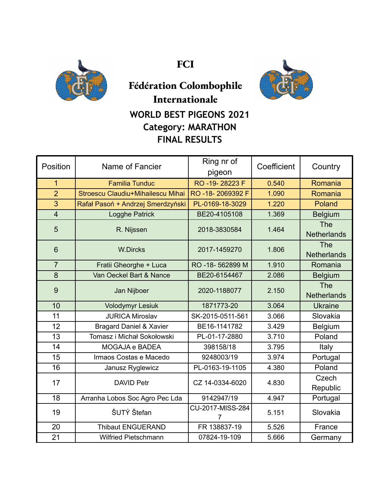

**FCI**



## **Fédération Colombophile Internationale WORLD BEST PIGEONS 2021 Category: MARATHON FINAL RESULTS**

| Position       | Name of Fancier                    | Ring nr of<br>pigeon  | Coefficient | Country                          |
|----------------|------------------------------------|-----------------------|-------------|----------------------------------|
| $\overline{1}$ | <b>Familia Tunduc</b>              | RO -19-28223 F        | 0.540       | Romania                          |
| $\overline{2}$ | Stroescu Claudiu+Mihailescu Mihai  | RO-18-2069392 F       | 1.090       | Romania                          |
| 3              | Rafał Pasoń + Andrzej Smerdzyński  | PL-0169-18-3029       | 1.220       | Poland                           |
| $\overline{4}$ | <b>Logghe Patrick</b>              | BE20-4105108          | 1.369       | <b>Belgium</b>                   |
| 5              | R. Nijssen                         | 2018-3830584          | 1.464       | <b>The</b><br><b>Netherlands</b> |
| 6              | <b>W.Dircks</b>                    | 2017-1459270          | 1.806       | The<br><b>Netherlands</b>        |
| $\overline{7}$ | Fratii Gheorghe + Luca             | RO -18-562899 M       | 1.910       | Romania                          |
| 8              | Van Oeckel Bart & Nance            | BE20-6154467          | 2.086       | <b>Belgium</b>                   |
| 9              | Jan Nijboer                        | 2020-1188077          | 2.150       | <b>The</b><br><b>Netherlands</b> |
| 10             | <b>Volodymyr Lesiuk</b>            | 1871773-20            | 3.064       | <b>Ukraine</b>                   |
| 11             | <b>JURICA Miroslav</b>             | SK-2015-0511-561      | 3.066       | Slovakia                         |
| 12             | <b>Bragard Daniel &amp; Xavier</b> | BE16-1141782          | 3.429       | Belgium                          |
| 13             | Tomasz i Michał Sokołowski         | PL-01-17-2880         | 3.710       | Poland                           |
| 14             | MOGAJA e BADEA                     | 398158/18             | 3.795       | Italy                            |
| 15             | Irmaos Costas e Macedo             | 9248003/19            | 3.974       | Portugal                         |
| 16             | Janusz Ryglewicz                   | PL-0163-19-1105       | 4.380       | Poland                           |
| 17             | <b>DAVID Petr</b>                  | CZ 14-0334-6020       | 4.830       | Czech<br>Republic                |
| 18             | Arranha Lobos Soc Agro Pec Lda     | 9142947/19            | 4.947       | Portugal                         |
| 19             | ŠUTÝ Štefan                        | CU-2017-MISS-284<br>7 | 5.151       | Slovakia                         |
| 20             | <b>Thibaut ENGUERAND</b>           | FR 138837-19          | 5.526       | France                           |
| 21             | <b>Wilfried Pietschmann</b>        | 07824-19-109          | 5.666       | Germany                          |